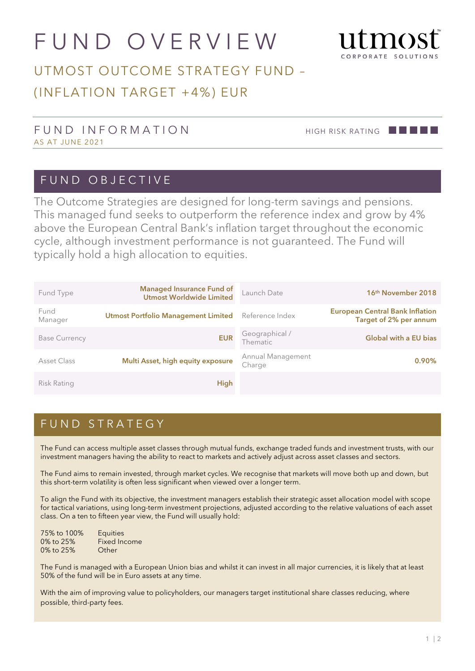# FUND OVERVIEW



## UTMOST OUTCOME STRATEGY FUND – (INFLATION TARGET +4%) EUR

#### FUND INFORMATION HIGH RISK RATING **AND INFORMATION** AS AT JUNE 2021

#### FUND OBJECTIVE

The Outcome Strategies are designed for long-term savings and pensions. This managed fund seeks to outperform the reference index and grow by 4% above the European Central Bank's inflation target throughout the economic cycle, although investment performance is not guaranteed. The Fund will typically hold a high allocation to equities.

| Fund Type            | <b>Managed Insurance Fund of</b><br><b>Utmost Worldwide Limited</b> | Launch Date                 | 16 <sup>th</sup> November 2018                                   |
|----------------------|---------------------------------------------------------------------|-----------------------------|------------------------------------------------------------------|
| Fund<br>Manager      | <b>Utmost Portfolio Management Limited</b>                          | Reference Index             | <b>European Central Bank Inflation</b><br>Target of 2% per annum |
| <b>Base Currency</b> | <b>EUR</b>                                                          | Geographical /<br>Thematic  | <b>Global with a EU bias</b>                                     |
| Asset Class          | Multi Asset, high equity exposure                                   | Annual Management<br>Charge | $0.90\%$                                                         |
| Risk Rating          | <b>High</b>                                                         |                             |                                                                  |

### FUND STRATEGY

The Fund can access multiple asset classes through mutual funds, exchange traded funds and investment trusts, with our investment managers having the ability to react to markets and actively adjust across asset classes and sectors.

The Fund aims to remain invested, through market cycles. We recognise that markets will move both up and down, but this short-term volatility is often less significant when viewed over a longer term.

To align the Fund with its objective, the investment managers establish their strategic asset allocation model with scope for tactical variations, using long-term investment projections, adjusted according to the relative valuations of each asset class. On a ten to fifteen year view, the Fund will usually hold:

| 75% to 100% | <b>Equities</b> |
|-------------|-----------------|
| 0% to 25%   | Fixed Income    |
| 0% to 25%   | Other           |

The Fund is managed with a European Union bias and whilst it can invest in all major currencies, it is likely that at least 50% of the fund will be in Euro assets at any time.

With the aim of improving value to policyholders, our managers target institutional share classes reducing, where possible, third-party fees.